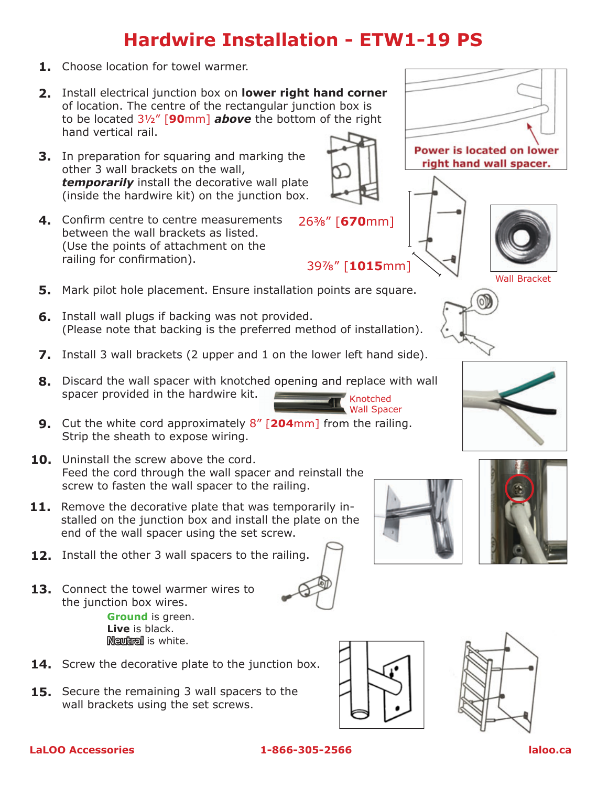## **Hardwire Installation - ETW1-19 PS**

- **1.** Choose location for towel warmer.
- Install electrical junction box on **lower right hand corner 2.** of location. The centre of the rectangular junction box is to be located 3½" [**90**mm] *above* the bottom of the right hand vertical rail.
- **3.** In preparation for squaring and marking the other 3 wall brackets on the wall, *temporarily* install the decorative wall plate (inside the hardwire kit) on the junction box.
- Confirm centre to centre measurements **4.** between the wall brackets as listed. (Use the points of attachment on the railing for confirmation).
- **5.** Mark pilot hole placement. Ensure installation points are square.
- **6.** Install wall plugs if backing was not provided. (Please note that backing is the preferred method of installation).
- **7.** Install 3 wall brackets (2 upper and 1 on the lower left hand side).
- **8.** Discard the wall spacer with knotched opening and replace with wall spacer provided in the hardwire kit. Knotched
- **9.** Cut the white cord approximately 8" [**204**mm] from the railing. Strip the sheath to expose wiring.
- **10.** Uninstall the screw above the cord. Feed the cord through the wall spacer and reinstall the screw to fasten the wall spacer to the railing.
- **11.** Remove the decorative plate that was temporarily installed on the junction box and install the plate on the end of the wall spacer using the set screw.
- **12.** Install the other 3 wall spacers to the railing.
- **13.** Connect the towel warmer wires to the junction box wires. **Ground** is green. **Live** is black. Neutral is white.
- **14.** Screw the decorative plate to the junction box.
- **15.** Secure the remaining 3 wall spacers to the wall brackets using the set screws.















Wall Spacer

26⅜" [**670**mm]

39⅞" [**1015**mm]